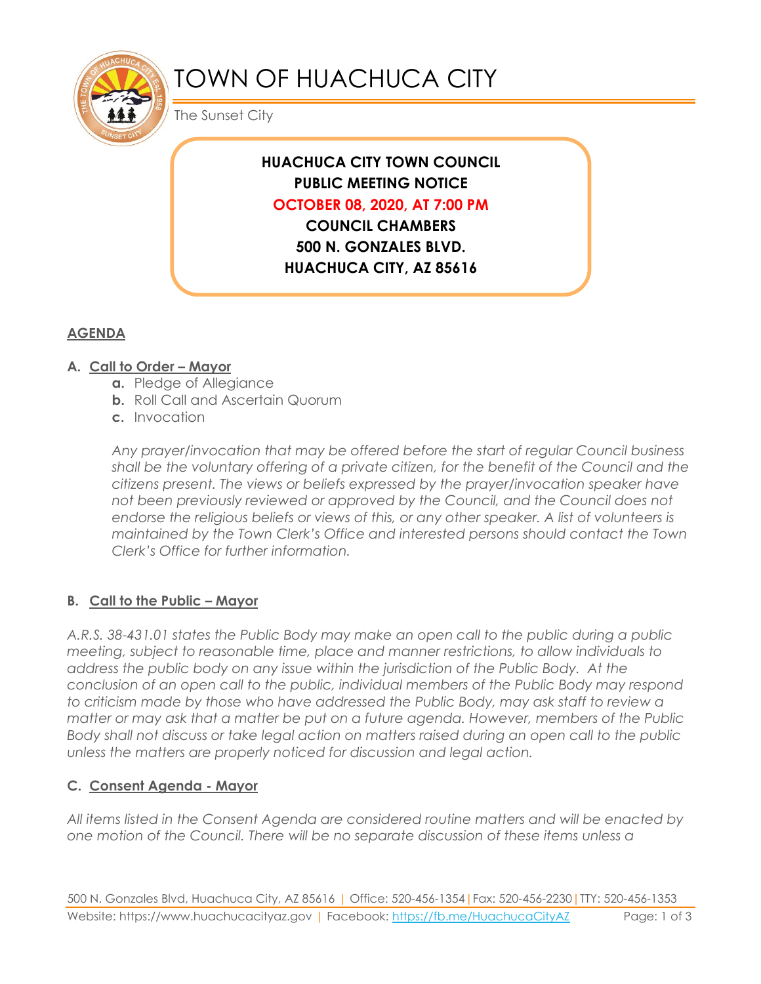

# TOWN OF HUACHUCA CITY

The Sunset City

## **HUACHUCA CITY TOWN COUNCIL PUBLIC MEETING NOTICE OCTOBER 08, 2020, AT 7:00 PM COUNCIL CHAMBERS**

**500 N. GONZALES BLVD. HUACHUCA CITY, AZ 85616**

## **AGENDA**

#### **A. Call to Order – Mayor**

- **a.** Pledge of Allegiance
- **b.** Roll Call and Ascertain Quorum
- **c.** Invocation

*Any prayer/invocation that may be offered before the start of regular Council business shall be the voluntary offering of a private citizen, for the benefit of the Council and the citizens present. The views or beliefs expressed by the prayer/invocation speaker have not been previously reviewed or approved by the Council, and the Council does not endorse the religious beliefs or views of this, or any other speaker. A list of volunteers is maintained by the Town Clerk's Office and interested persons should contact the Town Clerk's Office for further information.*

#### **B. Call to the Public – Mayor**

*A.R.S. 38-431.01 states the Public Body may make an open call to the public during a public meeting, subject to reasonable time, place and manner restrictions, to allow individuals to address the public body on any issue within the jurisdiction of the Public Body. At the conclusion of an open call to the public, individual members of the Public Body may respond to criticism made by those who have addressed the Public Body, may ask staff to review a matter or may ask that a matter be put on a future agenda. However, members of the Public Body shall not discuss or take legal action on matters raised during an open call to the public unless the matters are properly noticed for discussion and legal action.*

#### **C. Consent Agenda - Mayor**

*All items listed in the Consent Agenda are considered routine matters and will be enacted by one motion of the Council. There will be no separate discussion of these items unless a*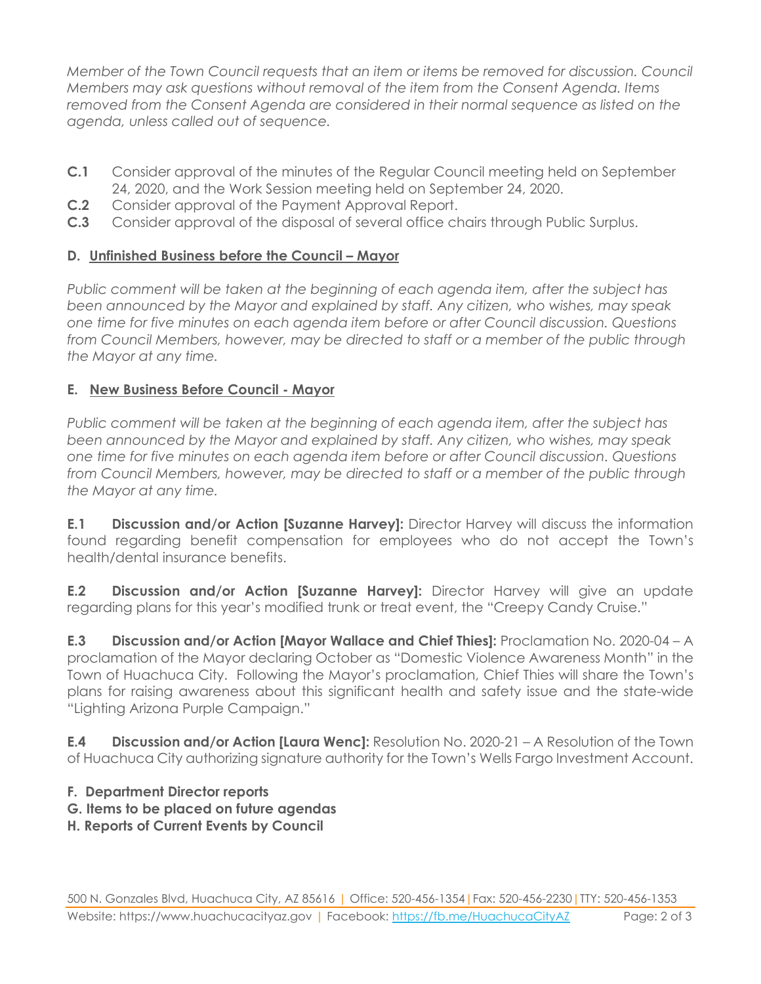*Member of the Town Council requests that an item or items be removed for discussion. Council Members may ask questions without removal of the item from the Consent Agenda. Items removed from the Consent Agenda are considered in their normal sequence as listed on the agenda, unless called out of sequence.*

- **C.1** Consider approval of the minutes of the Regular Council meeting held on September 24, 2020, and the Work Session meeting held on September 24, 2020.
- **C.2** Consider approval of the Payment Approval Report.
- **C.3** Consider approval of the disposal of several office chairs through Public Surplus.

### **D. Unfinished Business before the Council – Mayor**

*Public comment will be taken at the beginning of each agenda item, after the subject has been announced by the Mayor and explained by staff. Any citizen, who wishes, may speak one time for five minutes on each agenda item before or after Council discussion. Questions from Council Members, however, may be directed to staff or a member of the public through the Mayor at any time.*

#### **E. New Business Before Council - Mayor**

*Public comment will be taken at the beginning of each agenda item, after the subject has been announced by the Mayor and explained by staff. Any citizen, who wishes, may speak one time for five minutes on each agenda item before or after Council discussion. Questions from Council Members, however, may be directed to staff or a member of the public through the Mayor at any time.* 

**E.1 Discussion and/or Action [Suzanne Harvey]:** Director Harvey will discuss the information found regarding benefit compensation for employees who do not accept the Town's health/dental insurance benefits.

**E.2 Discussion and/or Action [Suzanne Harvey]:** Director Harvey will give an update regarding plans for this year's modified trunk or treat event, the "Creepy Candy Cruise."

**E.3 Discussion and/or Action [Mayor Wallace and Chief Thies]:** Proclamation No. 2020-04 – A proclamation of the Mayor declaring October as "Domestic Violence Awareness Month" in the Town of Huachuca City. Following the Mayor's proclamation, Chief Thies will share the Town's plans for raising awareness about this significant health and safety issue and the state-wide "Lighting Arizona Purple Campaign."

**E.4 Discussion and/or Action [Laura Wenc]:** Resolution No. 2020-21 – A Resolution of the Town of Huachuca City authorizing signature authority for the Town's Wells Fargo Investment Account.

#### **F. Department Director reports**

- **G. Items to be placed on future agendas**
- **H. Reports of Current Events by Council**